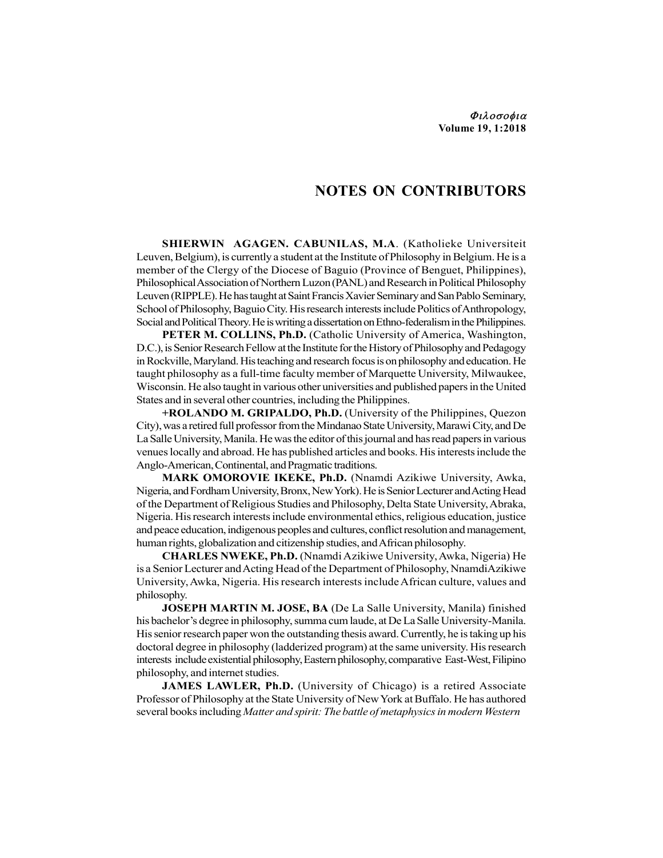Φιλοσοφια Volume 19, 1:2018

## NOTES ON CONTRIBUTORS

SHIERWIN AGAGEN. CABUNILAS, M.A. (Katholieke Universiteit Leuven, Belgium), is currently a student at the Institute of Philosophy in Belgium. He is a member of the Clergy of the Diocese of Baguio (Province of Benguet, Philippines), Philosophical Association of Northern Luzon (PANL) and Research in Political Philosophy Leuven (RIPPLE). He has taught at Saint Francis Xavier Seminary and San Pablo Seminary, School of Philosophy, Baguio City. His research interests include Politics of Anthropology, Social and Political Theory. He is writing a dissertation on Ethno-federalism in the Philippines.

PETER M. COLLINS, Ph.D. (Catholic University of America, Washington, D.C.), is Senior Research Fellow at the Institute for the History of Philosophy and Pedagogy in Rockville, Maryland. His teaching and research focus is on philosophy and education. He taught philosophy as a full-time faculty member of Marquette University, Milwaukee, Wisconsin. He also taught in various other universities and published papers in the United States and in several other countries, including the Philippines.

+ROLANDO M. GRIPALDO, Ph.D. (University of the Philippines, Quezon City), was a retired full professor from the Mindanao State University, Marawi City, and De La Salle University, Manila. He was the editor of this journal and has read papers in various venues locally and abroad. He has published articles and books. His interests include the Anglo-American, Continental, and Pragmatic traditions.

MARK OMOROVIE IKEKE, Ph.D. (Nnamdi Azikiwe University, Awka, Nigeria, and Fordham University, Bronx, New York). He is Senior Lecturer and Acting Head of the Department of Religious Studies and Philosophy, Delta State University, Abraka, Nigeria. His research interests include environmental ethics, religious education, justice and peace education, indigenous peoples and cultures, conflict resolution and management, human rights, globalization and citizenship studies, and African philosophy.

CHARLES NWEKE, Ph.D. (Nnamdi Azikiwe University, Awka, Nigeria) He is a Senior Lecturer and Acting Head of the Department of Philosophy, NnamdiAzikiwe University, Awka, Nigeria. His research interests include African culture, values and philosophy.

JOSEPH MARTIN M. JOSE, BA (De La Salle University, Manila) finished his bachelor's degree in philosophy, summa cum laude, at De La Salle University-Manila. His senior research paper won the outstanding thesis award. Currently, he is taking up his doctoral degree in philosophy (ladderized program) at the same university. His research interests include existential philosophy, Eastern philosophy, comparative East-West, Filipino philosophy, and internet studies.

JAMES LAWLER, Ph.D. (University of Chicago) is a retired Associate Professor of Philosophy at the State University of New York at Buffalo. He has authored several books including Matter and spirit: The battle of metaphysics in modern Western